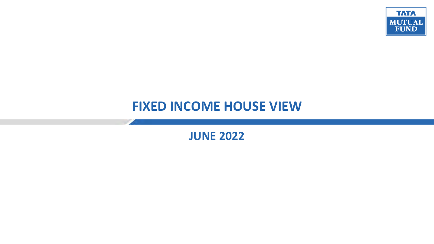

## **FIXED INCOME HOUSE VIEW**

**JUNE 2022**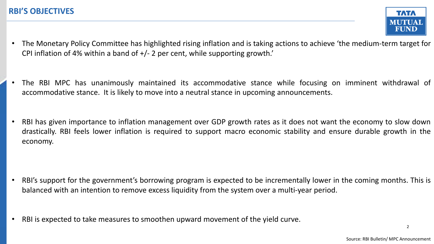

- The Monetary Policy Committee has highlighted rising inflation and is taking actions to achieve 'the medium-term target for CPI inflation of 4% within a band of +/- 2 per cent, while supporting growth.'
- The RBI MPC has unanimously maintained its accommodative stance while focusing on imminent withdrawal of accommodative stance. It is likely to move into a neutral stance in upcoming announcements.
- RBI has given importance to inflation management over GDP growth rates as it does not want the economy to slow down drastically. RBI feels lower inflation is required to support macro economic stability and ensure durable growth in the economy.

- RBI's support for the government's borrowing program is expected to be incrementally lower in the coming months. This is balanced with an intention to remove excess liquidity from the system over a multi-year period.
- RBI is expected to take measures to smoothen upward movement of the yield curve.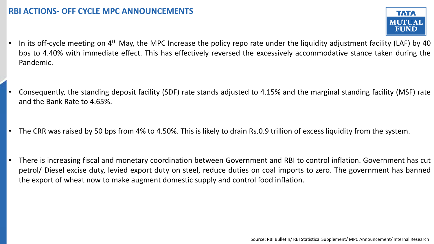- In its off-cycle meeting on 4<sup>th</sup> May, the MPC Increase the policy repo rate under the liquidity adjustment facility (LAF) by 40 bps to 4.40% with immediate effect. This has effectively reversed the excessively accommodative stance taken during the Pandemic.
- Consequently, the standing deposit facility (SDF) rate stands adjusted to 4.15% and the marginal standing facility (MSF) rate and the Bank Rate to 4.65%.
- The CRR was raised by 50 bps from 4% to 4.50%. This is likely to drain Rs.0.9 trillion of excess liquidity from the system.
- There is increasing fiscal and monetary coordination between Government and RBI to control inflation. Government has cut petrol/ Diesel excise duty, levied export duty on steel, reduce duties on coal imports to zero. The government has banned the export of wheat now to make augment domestic supply and control food inflation.

**TATA**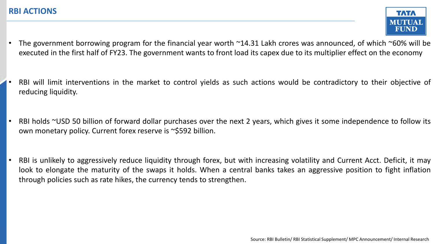

- The government borrowing program for the financial year worth  $\sim$ 14.31 Lakh crores was announced, of which  $\sim$ 60% will be executed in the first half of FY23. The government wants to front load its capex due to its multiplier effect on the economy
- RBI will limit interventions in the market to control yields as such actions would be contradictory to their objective of reducing liquidity.
- RBI holds ~USD 50 billion of forward dollar purchases over the next 2 years, which gives it some independence to follow its own monetary policy. Current forex reserve is ~\$592 billion.
- RBI is unlikely to aggressively reduce liquidity through forex, but with increasing volatility and Current Acct. Deficit, it may look to elongate the maturity of the swaps it holds. When a central banks takes an aggressive position to fight inflation through policies such as rate hikes, the currency tends to strengthen.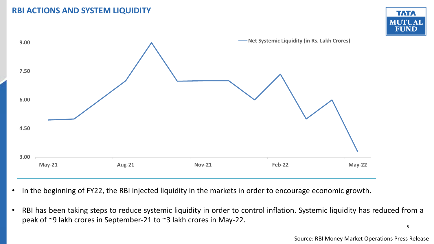### **RBI ACTIONS AND SYSTEM LIQUIDITY**





- In the beginning of FY22, the RBI injected liquidity in the markets in order to encourage economic growth.
- 5 • RBI has been taking steps to reduce systemic liquidity in order to control inflation. Systemic liquidity has reduced from a peak of ~9 lakh crores in September-21 to ~3 lakh crores in May-22.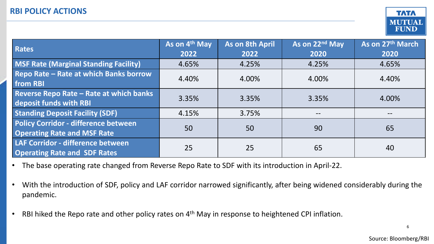

| Rates                                                                      | As on 4 <sup>th</sup> May<br>2022 | As on 8th April<br>2022 | As on 22 <sup>nd</sup> May<br>2020 | As on 27th March<br>2020 |
|----------------------------------------------------------------------------|-----------------------------------|-------------------------|------------------------------------|--------------------------|
| MSF Rate (Marginal Standing Facility)                                      | 4.65%                             | 4.25%                   | 4.25%                              | 4.65%                    |
| Repo Rate - Rate at which Banks borrow<br>from RBI                         | 4.40%                             | 4.00%                   | 4.00%                              | 4.40%                    |
| Reverse Repo Rate - Rate at which banks<br>deposit funds with RBI          | 3.35%                             | 3.35%                   | 3.35%                              | 4.00%                    |
| <b>Standing Deposit Facility (SDF)</b>                                     | 4.15%                             | 3.75%                   |                                    |                          |
| Policy Corridor - difference between<br><b>Operating Rate and MSF Rate</b> | 50                                | 50                      | 90                                 | 65                       |
| LAF Corridor - difference between<br><b>Operating Rate and SDF Rates</b>   | 25                                | 25                      | 65                                 | 40                       |

- The base operating rate changed from Reverse Repo Rate to SDF with its introduction in April-22.
- With the introduction of SDF, policy and LAF corridor narrowed significantly, after being widened considerably during the pandemic.
- RBI hiked the Repo rate and other policy rates on 4<sup>th</sup> May in response to heightened CPI inflation.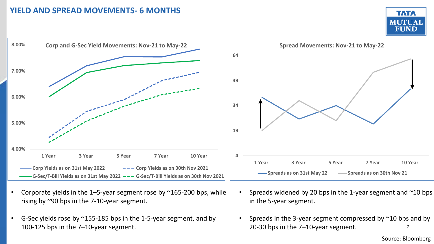#### **YIELD AND SPREAD MOVEMENTS- 6 MONTHS**





- Corporate yields in the 1–5-year segment rose by  $\sim$ 165-200 bps, while rising by ~90 bps in the 7-10-year segment.
- G-Sec yields rose by  $^{\sim}$ 155-185 bps in the 1-5-year segment, and by 100-125 bps in the 7–10-year segment.
- Spreads widened by 20 bps in the 1-year segment and  $\sim$ 10 bps in the 5-year segment.
- 7 • Spreads in the 3-year segment compressed by ~10 bps and by 20-30 bps in the 7–10-year segment.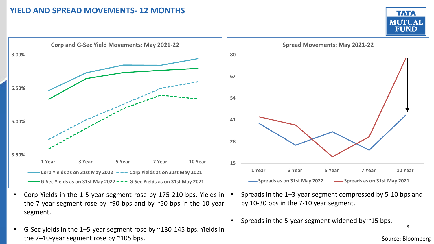#### **YIELD AND SPREAD MOVEMENTS- 12 MONTHS**





- Corp Yields in the 1-5-year segment rose by 175-210 bps. Yields in the 7-year segment rose by  $\sim$ 90 bps and by  $\sim$ 50 bps in the 10-year segment.
- G-Sec yields in the 1–5-year segment rose by  $\approx$ 130-145 bps. Yields in the 7–10-year segment rose by  $\approx$ 105 bps.
- Spreads in the 1–3-year segment compressed by 5-10 bps and by 10-30 bps in the 7-10 year segment.
- Spreads in the 5-year segment widened by  $\sim$ 15 bps.

8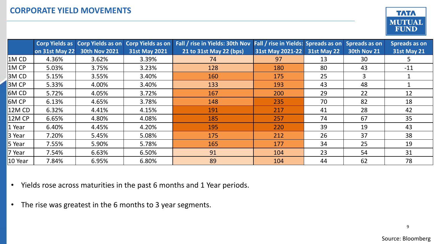

|             |                  | Corp Yields as Corp Yields as on | <b>Corp Yields as on</b> | Fall / rise in Yields: 30th Nov Fall / rise in Yields: Spreads as on Spreads as on |                  |                    |                    | Spreads as on      |
|-------------|------------------|----------------------------------|--------------------------|------------------------------------------------------------------------------------|------------------|--------------------|--------------------|--------------------|
|             | on $31st$ May 22 | <b>30th Nov 2021</b>             | <b>31st May 2021</b>     | 21 to 31st May 22 (bps)                                                            | 31st May 2021-22 | <b>31st May 22</b> | <b>30th Nov 21</b> | <b>31st May 21</b> |
| 1MCD        | 4.36%            | 3.62%                            | 3.39%                    | 74                                                                                 | 97               | 13                 | 30                 |                    |
| $1M$ CP     | 5.03%            | 3.75%                            | 3.23%                    | 128                                                                                | 180              | 80                 | 43                 | $-11$              |
| 3MCD        | 5.15%            | 3.55%                            | 3.40%                    | 160                                                                                | 175              | 25                 | 3                  |                    |
| $ 3M$ CP    | 5.33%            | 4.00%                            | 3.40%                    | 133                                                                                | 193              | 43                 | 48                 |                    |
| 6MCD        | 5.72%            | 4.05%                            | 3.72%                    | 167                                                                                | 200              | 29                 | 22                 | 12                 |
| <b>6MCP</b> | 6.13%            | 4.65%                            | 3.78%                    | 148                                                                                | 235              | 70                 | 82                 | 18                 |
| 12M CD      | 6.32%            | 4.41%                            | 4.15%                    | 191                                                                                | 217              | 41                 | 28                 | 42                 |
| $12M$ CP    | 6.65%            | 4.80%                            | 4.08%                    | 185                                                                                | 257              | 74                 | 67                 | 35                 |
| 1 Year      | 6.40%            | 4.45%                            | 4.20%                    | 195                                                                                | 220              | 39                 | 19                 | 43                 |
| 3 Year      | 7.20%            | 5.45%                            | 5.08%                    | 175                                                                                | 212              | 26                 | 37                 | 38                 |
| 5 Year      | 7.55%            | 5.90%                            | 5.78%                    | 165                                                                                | 177              | 34                 | 25                 | 19                 |
| 7 Year      | 7.54%            | 6.63%                            | 6.50%                    | 91                                                                                 | 104              | 23                 | 54                 | 31                 |
| 10 Year     | 7.84%            | 6.95%                            | 6.80%                    | 89                                                                                 | 104              | 44                 | 62                 | 78                 |

- Yields rose across maturities in the past 6 months and 1 Year periods.
- The rise was greatest in the 6 months to 3 year segments.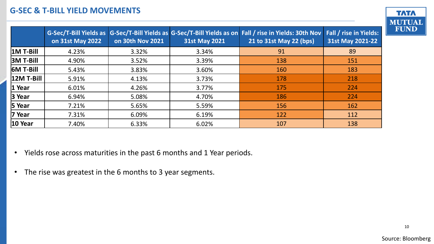### **G-SEC & T-BILL YIELD MOVEMENTS**

|                    | on 31st May 2022 | on 30th Nov 2021 | <b>31st May 2021</b> | G-Sec/T-Bill Yields as G-Sec/T-Bill Yields as G-Sec/T-Bill Yields as on Fall / rise in Yields: 30th Nov<br>21 to 31st May 22 (bps) | Fall / rise in Yields:<br>31st May 2021-22 |
|--------------------|------------------|------------------|----------------------|------------------------------------------------------------------------------------------------------------------------------------|--------------------------------------------|
| $1M$ T-Bill        | 4.23%            | 3.32%            | 3.34%                | 91                                                                                                                                 | 89                                         |
| $ 3M T-Bill $      | 4.90%            | 3.52%            | 3.39%                | 138                                                                                                                                | 151                                        |
| $ 6M T-Bill $      | 5.43%            | 3.83%            | 3.60%                | 160                                                                                                                                | 183                                        |
| $ 12M T-Bill $     | 5.91%            | 4.13%            | 3.73%                | 178                                                                                                                                | 218                                        |
| $1$ Year           | 6.01%            | 4.26%            | 3.77%                | 175                                                                                                                                | 224                                        |
| $ 3$ Year          | 6.94%            | 5.08%            | 4.70%                | 186                                                                                                                                | 224                                        |
| $5$ Year           | 7.21%            | 5.65%            | 5.59%                | 156                                                                                                                                | 162                                        |
| $ 7$ Year          | 7.31%            | 6.09%            | 6.19%                | 122                                                                                                                                | 112                                        |
| $ 10 \rangle$ Year | 7.40%            | 6.33%            | 6.02%                | 107                                                                                                                                | 138                                        |

- Yields rose across maturities in the past 6 months and 1 Year periods.
- The rise was greatest in the 6 months to 3 year segments.

**TATA** 

**MUTUAL FUND**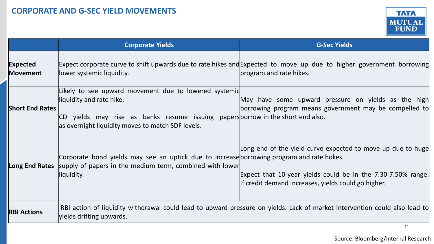

|                                    | <b>Corporate Yields</b>                                                                                                                                                                                                   | <b>G-Sec Yields</b>                                                                                                                                                                |
|------------------------------------|---------------------------------------------------------------------------------------------------------------------------------------------------------------------------------------------------------------------------|------------------------------------------------------------------------------------------------------------------------------------------------------------------------------------|
| <b>Expected</b><br><b>Movement</b> | llower systemic liquidity.                                                                                                                                                                                                | Expect corporate curve to shift upwards due to rate hikes and Expected to move up due to higher government borrowing<br>program and rate hikes.                                    |
| <b>Short End Rates</b>             | Likely to see upward movement due to lowered systemic<br>liquidity and rate hike.<br>CD yields may rise as banks resume issuing papers borrow in the short end also.<br>as overnight liquidity moves to match SDF levels. | May have some upward pressure on yields as the high<br>borrowing program means government may be compelled to                                                                      |
|                                    | Corporate bond yields may see an uptick due to increase borrowing program and rate hokes.<br>Long End Rates supply of papers in the medium term, combined with lower<br>liquidity.                                        | Long end of the yield curve expected to move up due to huge<br>Expect that 10-year yields could be in the 7.30-7.50% range.<br>If credit demand increases, yields could go higher. |
| <b>RBI Actions</b>                 | vields drifting upwards.                                                                                                                                                                                                  | RBI action of liquidity withdrawal could lead to upward pressure on yields. Lack of market intervention could also lead to                                                         |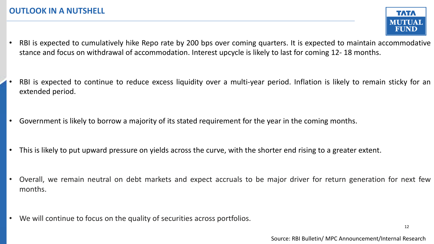- RBI is expected to cumulatively hike Repo rate by 200 bps over coming quarters. It is expected to maintain accommodative stance and focus on withdrawal of accommodation. Interest upcycle is likely to last for coming 12- 18 months.
- RBI is expected to continue to reduce excess liquidity over a multi-year period. Inflation is likely to remain sticky for an extended period.
- Government is likely to borrow a majority of its stated requirement for the year in the coming months.
- This is likely to put upward pressure on yields across the curve, with the shorter end rising to a greater extent.
- Overall, we remain neutral on debt markets and expect accruals to be major driver for return generation for next few months.
- We will continue to focus on the quality of securities across portfolios.

**TATA** MUTUAI FUND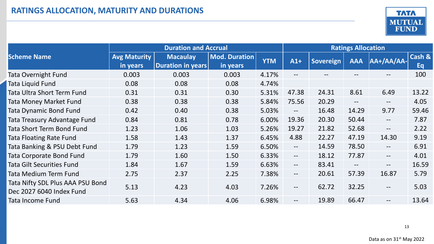

|                                                              |                                 | <b>Duration and Accrual</b>          | <b>Ratings Allocation</b> |            |                   |           |                          |                   |              |
|--------------------------------------------------------------|---------------------------------|--------------------------------------|---------------------------|------------|-------------------|-----------|--------------------------|-------------------|--------------|
| <b>Scheme Name</b>                                           | <b>Avg Maturity</b><br>in years | <b>Macaulay</b><br>Duration in years | Mod. Duration<br>in years | <b>YTM</b> | $A1+$             | Sovereign | <b>AAA</b>               | $A + A + A$       | Cash &<br>Eq |
| Tata Overnight Fund                                          | 0.003                           | 0.003                                | 0.003                     | 4.17%      | $--$              |           |                          |                   | 100          |
| Tata Liquid Fund                                             | 0.08                            | 0.08                                 | 0.08                      | 4.74%      |                   |           |                          |                   |              |
| Tata Ultra Short Term Fund                                   | 0.31                            | 0.31                                 | 0.30                      | 5.31%      | 47.38             | 24.31     | 8.61                     | 6.49              | 13.22        |
| <b>Tata Money Market Fund</b>                                | 0.38                            | 0.38                                 | 0.38                      | 5.84%      | 75.56             | 20.29     | $\overline{\phantom{m}}$ | $--$              | 4.05         |
| Tata Dynamic Bond Fund                                       | 0.42                            | 0.40                                 | 0.38                      | 5.03%      | $--$              | 16.48     | 14.29                    | 9.77              | 59.46        |
| Tata Treasury Advantage Fund                                 | 0.84                            | 0.81                                 | 0.78                      | 6.00%      | 19.36             | 20.30     | 50.44                    | $\qquad \qquad -$ | 7.87         |
| Tata Short Term Bond Fund                                    | 1.23                            | 1.06                                 | 1.03                      | 5.26%      | 19.27             | 21.82     | 52.68                    | $--$              | 2.22         |
| <b>Tata Floating Rate Fund</b>                               | 1.58                            | 1.43                                 | 1.37                      | 6.45%      | 4.88              | 22.27     | 47.19                    | 14.30             | 9.19         |
| Tata Banking & PSU Debt Fund                                 | 1.79                            | 1.23                                 | 1.59                      | 6.50%      | $-$               | 14.59     | 78.50                    | $- -$             | 6.91         |
| Tata Corporate Bond Fund                                     | 1.79                            | 1.60                                 | 1.50                      | 6.33%      | $--$              | 18.12     | 77.87                    | $--$              | 4.01         |
| Tata Gilt Securities Fund                                    | 1.84                            | 1.67                                 | 1.59                      | 6.63%      | $--$              | 83.41     | $\overline{\phantom{a}}$ | $\qquad \qquad -$ | 16.59        |
| Tata Medium Term Fund                                        | 2.75                            | 2.37                                 | 2.25                      | 7.38%      | $- -$             | 20.61     | 57.39                    | 16.87             | 5.79         |
| Tata Nifty SDL Plus AAA PSU Bond<br>Dec 2027 6040 Index Fund | 5.13                            | 4.23                                 | 4.03                      | 7.26%      | $\qquad \qquad -$ | 62.72     | 32.25                    | $--$              | 5.03         |
| Tata Income Fund                                             | 5.63                            | 4.34                                 | 4.06                      | 6.98%      | $\qquad \qquad -$ | 19.89     | 66.47                    | $--$              | 13.64        |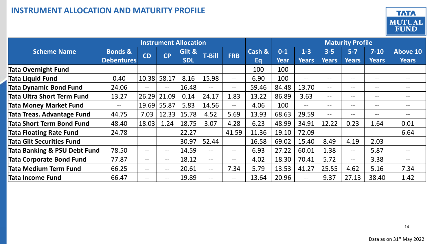

|                                   | <b>Instrument Allocation</b> |           |                          |            |               | <b>Maturity Profile</b> |        |             |              |              |                   |              |                 |
|-----------------------------------|------------------------------|-----------|--------------------------|------------|---------------|-------------------------|--------|-------------|--------------|--------------|-------------------|--------------|-----------------|
| <b>Scheme Name</b>                | <b>Bonds &amp;</b>           | <b>CD</b> | <b>CP</b>                | Gilt &     | <b>T-Bill</b> | <b>FRB</b>              | Cash & | $0-1$       | $1-3$        | $3-5$        | $5 - 7$           | $7 - 10$     | <b>Above 10</b> |
|                                   | <b>Debentures</b>            |           |                          | <b>SDL</b> |               |                         | Eq     | <b>Year</b> | <b>Years</b> | <b>Years</b> | <b>Years</b>      | <b>Years</b> | <b>Years</b>    |
| <b>Tata Overnight Fund</b>        |                              | --        | $- -$                    | --         | --            | $\qquad \qquad -$       | 100    | 100         | $- -$        | --           | $- -$             | --           |                 |
| <b>Tata Liquid Fund</b>           | 0.40                         | 10.38     | 58.17                    | 8.16       | 15.98         | $\qquad \qquad -$       | 6.90   | 100         | $- -$        | $- -$        | $- -$             | --           | --              |
| <b>Tata Dynamic Bond Fund</b>     | 24.06                        | $--$      | $--$                     | 16.48      | $---$         | $--$                    | 59.46  | 84.48       | 13.70        | $--$         | $- -$             | $- -$        | --              |
| Tata Ultra Short Term Fund        | 13.27                        | 26.29     | 21.09                    | 0.14       | 24.17         | 1.83                    | 13.22  | 86.89       | 3.63         | --           | $\qquad \qquad -$ | --           | --              |
| <b>Tata Money Market Fund</b>     | $\qquad \qquad -$            | 19.69     | 55.87                    | 5.83       | 14.56         | $--$                    | 4.06   | 100         | $-$          | --           | $- -$             | --           | --              |
| <b>Tata Treas. Advantage Fund</b> | 44.75                        | 7.03      | 12.33                    | 15.78      | 4.52          | 5.69                    | 13.93  | 68.63       | 29.59        | $--$         | $- -$             | --           |                 |
| <b>Tata Short Term Bond Fund</b>  | 48.40                        | 18.03     | 1.24                     | 18.75      | 3.07          | 4.28                    | 6.23   | 48.99       | 34.91        | 12.22        | 0.23              | 1.64         | 0.01            |
| <b>Tata Floating Rate Fund</b>    | 24.78                        | $- -$     | $\overline{\phantom{m}}$ | 22.27      | $- -$         | 41.59                   | 11.36  | 19.10       | 72.09        | $- -$        | $- -$             | --           | 6.64            |
| <b>Tata Gilt Securities Fund</b>  | $\qquad \qquad -$            | $- -$     | $\overline{\phantom{m}}$ | 30.97      | 52.44         | $\qquad \qquad -$       | 16.58  | 69.02       | 15.40        | 8.49         | 4.19              | 2.03         |                 |
| Tata Banking & PSU Debt Fund      | 78.50                        | $- -$     | $\qquad \qquad -$        | 14.59      | $- -$         | $\qquad \qquad -$       | 6.93   | 27.22       | 60.01        | 1.38         | $---$             | 5.87         |                 |
| <b>Tata Corporate Bond Fund</b>   | 77.87                        | --        | $--$                     | 18.12      | $---$         | $\qquad \qquad -$       | 4.02   | 18.30       | 70.41        | 5.72         | $---$             | 3.38         |                 |
| Tata Medium Term Fund             | 66.25                        | $- -$     | $\qquad \qquad -$        | 20.61      | $---$         | 7.34                    | 5.79   | 13.53       | 41.27        | 25.55        | 4.62              | 5.16         | 7.34            |
| Tata Income Fund                  | 66.47                        | --        | $--$                     | 19.89      | $--$          | $--$                    | 13.64  | 20.96       | --           | 9.37         | 27.13             | 38.40        | 1.42            |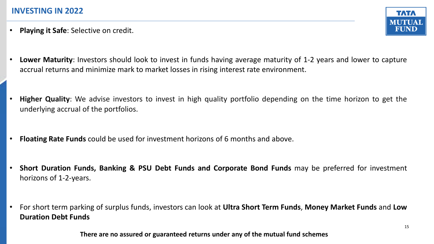• **Playing it Safe**: Selective on credit.



- **Lower Maturity**: Investors should look to invest in funds having average maturity of 1-2 years and lower to capture accrual returns and minimize mark to market losses in rising interest rate environment.
- **Higher Quality**: We advise investors to invest in high quality portfolio depending on the time horizon to get the underlying accrual of the portfolios.
- **Floating Rate Funds** could be used for investment horizons of 6 months and above.
- **Short Duration Funds, Banking & PSU Debt Funds and Corporate Bond Funds** may be preferred for investment horizons of 1-2-years.
- For short term parking of surplus funds, investors can look at **Ultra Short Term Funds**, **Money Market Funds** and **Low Duration Debt Funds**

**There are no assured or guaranteed returns under any of the mutual fund schemes**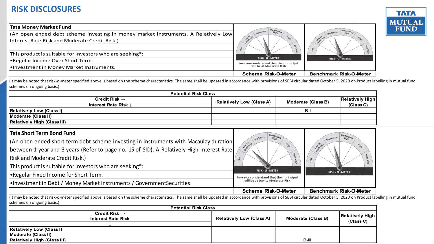

| <b>RISK DISCLOSURES</b>                                                                                                                                                                                                            |                                           |                               |
|------------------------------------------------------------------------------------------------------------------------------------------------------------------------------------------------------------------------------------|-------------------------------------------|-------------------------------|
| <b>Tata Money Market Fund</b>                                                                                                                                                                                                      |                                           |                               |
| (An open ended debt scheme investing in money market instruments. A Relatively Low                                                                                                                                                 |                                           |                               |
| Interest Rate Risk and Moderate Credit Risk.)                                                                                                                                                                                      |                                           |                               |
|                                                                                                                                                                                                                                    |                                           |                               |
| This product is suitable for investors who are seeking*:                                                                                                                                                                           | <b>RISK - O - METER</b>                   |                               |
| •Regular Income Over Short Term.                                                                                                                                                                                                   | Investors understand that their principal | <b>RISK - O - METER</b>       |
| l•Investment in Money Market Instruments.                                                                                                                                                                                          | will be at Moderate Risk                  |                               |
|                                                                                                                                                                                                                                    | <b>Scheme Risk-O-Meter</b>                | <b>Benchmark Risk-O-Meter</b> |
| (It may be noted that risk-o-meter specified above is based on the scheme characteristics. The same shall be updated in accordance with provisions of SEBI circular dated October 5, 2020 on Product<br>schemes on ongoing basis.) |                                           |                               |
| <b>Potential Risk Class</b>                                                                                                                                                                                                        |                                           |                               |

(It may be noted that risk-o-meter specified above is based on the scheme characteristics. The same shall be updated in accordance with provisions of SEBI circular dated October 5, 2020 on Product labelling in mutual fund schemes on ongoing basis.)

| <b>Potential Risk Class</b>                                                               |  |                                 |                    |       |                        |
|-------------------------------------------------------------------------------------------|--|---------------------------------|--------------------|-------|------------------------|
| Credit Risk $\rightarrow$<br>Interest Rate Risk J                                         |  | <b>Relatively Low (Class A)</b> |                    |       | <b>Relatively High</b> |
|                                                                                           |  |                                 | Moderate (Class B) |       | (Class C)              |
| <b>Relatively Low (Class I)</b>                                                           |  |                                 |                    | $B-I$ |                        |
| <b>Moderate (Class II)</b>                                                                |  |                                 |                    |       |                        |
| <b>Relatively High (Class III)</b>                                                        |  |                                 |                    |       |                        |
| <b>Tata Short Term Bond Fund</b>                                                          |  |                                 |                    |       | Moderately             |
| (An open ended short term debt scheme investing in instruments with Macaulay duration     |  | Moderate                        | <b>Max</b>         |       | High<br>Migh           |
| between 1 year and 3 years (Refer to page no. 15 of SID). A Relatively High Interest Rate |  | Loaderate                       |                    |       |                        |
| $\overline{D}_{\text{old}}$                                                               |  |                                 |                    |       |                        |

| Tata Short Term Bond Fund |  |  |  |
|---------------------------|--|--|--|
|---------------------------|--|--|--|

| (An open ended short term debt scheme investing in instruments with Macaulay duration     |
|-------------------------------------------------------------------------------------------|
| between 1 year and 3 years (Refer to page no. 15 of SID). A Relatively High Interest Rate |
| <b>Risk and Moderate Credit Risk.)</b>                                                    |

This product is suitable for investors who are seeking\*:

•Regular Fixed Income for Short Term.

•Investment in Debt / Money Market instruments / GovernmentSecurities.



| __<br><b>Potential Risk Class</b>                      |                                 |                    |                        |  |  |  |
|--------------------------------------------------------|---------------------------------|--------------------|------------------------|--|--|--|
| Credit Risk $\rightarrow$<br><b>Interest Rate Risk</b> | <b>Relatively Low (Class A)</b> | Moderate (Class B) | <b>Relatively High</b> |  |  |  |
|                                                        |                                 |                    | (Class C)              |  |  |  |
| <b>Relatively Low (Class I)</b>                        |                                 |                    |                        |  |  |  |
| Moderate (Class II)                                    |                                 |                    |                        |  |  |  |
| <b>Relatively High (Class III)</b>                     |                                 | $B-III$            |                        |  |  |  |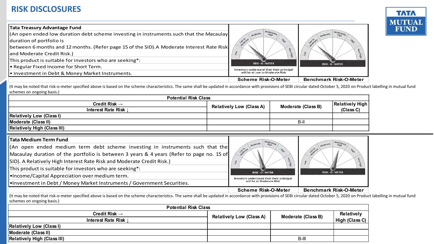

| <b>RISK DISCLOSURES</b>                                                                                                                                                                                                                                                                                                                                                                                                                                 |                                                                                                                 |                               |
|---------------------------------------------------------------------------------------------------------------------------------------------------------------------------------------------------------------------------------------------------------------------------------------------------------------------------------------------------------------------------------------------------------------------------------------------------------|-----------------------------------------------------------------------------------------------------------------|-------------------------------|
| <b>Tata Treasury Advantage Fund</b><br>(An open ended low duration debt scheme investing in instruments such that the Macaulay<br>duration of portfolio is<br>between 6 months and 12 months. (Refer page 15 of the SID). A Moderate Interest Rate Risk<br>and Moderate Credit Risk.)<br>This product is suitable for investors who are seeking*:<br><b>• Regular Fixed Income for Short Term.</b><br>Io Investment in Debt & Money Market Instruments. | <b>RAL</b><br>3<br>RISK-O-METER<br>Investors understand that their principal<br>will be at Low to Moderate Risk | RISK-O-METER                  |
|                                                                                                                                                                                                                                                                                                                                                                                                                                                         | <b>Scheme Risk-O-Meter</b>                                                                                      | <b>Benchmark Risk-O-Meter</b> |

(It may be noted that risk-o-meter specified above is based on the scheme characteristics. The same shall be updated in accordance with provisions of SEBI circular dated October 5, 2020 on Product labelling in mutual fund schemes on ongoing basis.)

| <b>Potential Risk Class</b>        |                                 |                           |                        |
|------------------------------------|---------------------------------|---------------------------|------------------------|
| Credit Risk $\rightarrow$          | <b>Relatively Low (Class A)</b> | <b>Moderate (Class B)</b> | <b>Relatively High</b> |
| Interest Rate Risk L               |                                 |                           | (Class C)              |
| <b>Relatively Low (Class I)</b>    |                                 |                           |                        |
| Moderate (Class II)                |                                 | $B-II$                    |                        |
| <b>Relatively High (Class III)</b> |                                 |                           |                        |

| <b>Tata Treasury Advantage Fund</b>                                                                                                                                                                                                  |                                                                              |  |                               |                               |
|--------------------------------------------------------------------------------------------------------------------------------------------------------------------------------------------------------------------------------------|------------------------------------------------------------------------------|--|-------------------------------|-------------------------------|
| (An open ended low duration debt scheme investing in instruments such that the Macaulay                                                                                                                                              | poerate                                                                      |  | wherate                       |                               |
| duration of portfolio is                                                                                                                                                                                                             |                                                                              |  |                               |                               |
| between 6 months and 12 months. (Refer page 15 of the SID). A Moderate Interest Rate Risk                                                                                                                                            |                                                                              |  |                               |                               |
| and Moderate Credit Risk.)                                                                                                                                                                                                           |                                                                              |  |                               |                               |
| This product is suitable for investors who are seeking*:                                                                                                                                                                             | RISK-O-METER                                                                 |  |                               |                               |
| . Regular Fixed Income for Short Term.                                                                                                                                                                                               |                                                                              |  |                               | RISK-O-METER                  |
| • Investment in Debt & Money Market Instruments.                                                                                                                                                                                     | Investors understand that their principal<br>will be at Low to Moderate Risk |  |                               |                               |
|                                                                                                                                                                                                                                      | <b>Scheme Risk-O-Meter</b>                                                   |  | <b>Benchmark Risk-O-Meter</b> |                               |
| (It may be noted that risk-o-meter specified above is based on the scheme characteristics. The same shall be updated in accordance with provisions of SEBI circular dated October 5, 2020 on Product I<br>schemes on ongoing basis.) |                                                                              |  |                               |                               |
| <b>Potential Risk Class</b>                                                                                                                                                                                                          |                                                                              |  |                               |                               |
| Credit Risk $\rightarrow$                                                                                                                                                                                                            | <b>Relatively Low (Class A)</b>                                              |  | Moderate (Class B)            | <b>Relatively High</b>        |
| Interest Rate Risk                                                                                                                                                                                                                   |                                                                              |  |                               | (Class C)                     |
| <b>Relatively Low (Class I)</b>                                                                                                                                                                                                      |                                                                              |  |                               |                               |
| Moderate (Class II)<br><b>Relatively High (Class III)</b>                                                                                                                                                                            |                                                                              |  | $B-II$                        |                               |
|                                                                                                                                                                                                                                      |                                                                              |  |                               |                               |
| <b>Tata Medium Term Fund</b>                                                                                                                                                                                                         |                                                                              |  |                               |                               |
| (An open ended medium term debt scheme investing in instruments such that the                                                                                                                                                        |                                                                              |  |                               |                               |
| Macaulay duration of the portfolio is between 3 years & 4 years (Refer to page no. 15 of                                                                                                                                             |                                                                              |  |                               |                               |
| SID). A Relatively High Interest Rate Risk and Moderate Credit Risk.)                                                                                                                                                                |                                                                              |  |                               |                               |
| This product is suitable for investors who are seeking*:                                                                                                                                                                             |                                                                              |  |                               |                               |
|                                                                                                                                                                                                                                      | <b>RISK - O - METER</b>                                                      |  |                               | <b>RISK - O - METER</b>       |
| .Income/Capital Appreciation over medium term.                                                                                                                                                                                       | Investors understand that their principal<br>will be at Moderate Risk        |  |                               |                               |
| .Investment in Debt / Money Market Instruments / Government Securities.                                                                                                                                                              |                                                                              |  |                               |                               |
|                                                                                                                                                                                                                                      | <b>Scheme Risk-O-Meter</b>                                                   |  |                               | <b>Benchmark Risk-O-Meter</b> |
| (It may be noted that risk-o-meter specified above is based on the scheme characteristics. The same shall be updated in accordance with provisions of SEBI circular dated October 5, 2020 on Product I<br>schemes on ongoing basis.) |                                                                              |  |                               |                               |
| <b>Potential Risk Class</b>                                                                                                                                                                                                          |                                                                              |  |                               |                               |

| <b>Potential Risk Class</b>        |                                                       |        |                        |
|------------------------------------|-------------------------------------------------------|--------|------------------------|
| Credit Risk $\rightarrow$          | Moderate (Class B)<br><b>Relatively Low (Class A)</b> |        | <b>Relatively</b>      |
| Interest Rate Risk I               |                                                       |        | High (Class C) $\vert$ |
| <b>Relatively Low (Class I)</b>    |                                                       |        |                        |
| Moderate (Class II)                |                                                       |        |                        |
| <b>Relatively High (Class III)</b> |                                                       | $B-II$ |                        |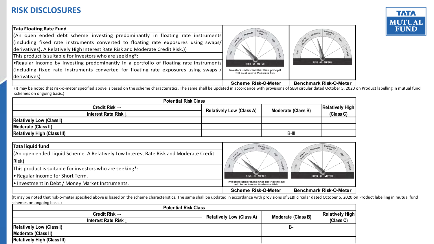

| <b>RISK DISCLOSURES</b>                                                                                                                                                                                                                                                                                                                                                                                                                                                                                                                    |                                                                                                  |                               |
|--------------------------------------------------------------------------------------------------------------------------------------------------------------------------------------------------------------------------------------------------------------------------------------------------------------------------------------------------------------------------------------------------------------------------------------------------------------------------------------------------------------------------------------------|--------------------------------------------------------------------------------------------------|-------------------------------|
| <b>Tata Floating Rate Fund</b><br>(An open ended debt scheme investing predominantly in floating rate instruments)<br>(including fixed rate instruments converted to floating rate exposures using swaps/<br>derivatives), A Relatively High Interest Rate Risk and Moderate Credit Risk.))<br>This product is suitable for investors who are seeking*:<br>•Regular Income by investing predominantly in a portfolio of floating rate instruments<br>(including fixed rate instruments converted for floating rate exposures using swaps / | RISK - O - METER<br>Investors understand that their principal<br>will be at Low to Moderate Risk | RISK - O - METER              |
| derivatives)                                                                                                                                                                                                                                                                                                                                                                                                                                                                                                                               | Scheme Risk-O-Meter                                                                              | <b>Benchmark Risk-O-Meter</b> |
| (It may be noted that risk-o-meter specified above is based on the scheme characteristics. The same shall be updated in accordance with provisions of SEBI circular dated October 5, 202<br>schemes on ongoing basis.)                                                                                                                                                                                                                                                                                                                     |                                                                                                  |                               |

(It may be noted that risk-o-meter specified above is based on the scheme characteristics. The same shall be updated in accordance with provisions of SEBI circular dated October 5, 2020 on Product labelling in mutual fund schemes on ongoing basis.)

| <b>Potential Risk Class</b>        |                                 |                    |                        |
|------------------------------------|---------------------------------|--------------------|------------------------|
| Credit Risk $\rightarrow$          | <b>Relatively Low (Class A)</b> | Moderate (Class B) | <b>Relatively High</b> |
| Interest Rate Risk                 |                                 |                    | (Class C)              |
| <b>Relatively Low (Class I)</b>    |                                 |                    |                        |
| Moderate (Class II)                |                                 |                    |                        |
| <b>Relatively High (Class III)</b> |                                 | B-III              |                        |

| Tata liquid fund                                                                                                                                                                                                          |                                                                              |                               |
|---------------------------------------------------------------------------------------------------------------------------------------------------------------------------------------------------------------------------|------------------------------------------------------------------------------|-------------------------------|
| (An open ended Liquid Scheme. A Relatively Low Interest Rate Risk and Moderate Credit                                                                                                                                     | oli Bo                                                                       | <sup>Ti</sup> BIS             |
| Risk)                                                                                                                                                                                                                     |                                                                              |                               |
| This product is suitable for investors who are seeking*:                                                                                                                                                                  |                                                                              |                               |
| • Regular Income for Short Term.                                                                                                                                                                                          | RISK - O - METER                                                             | <b>RISK - O - METER</b>       |
| . Investment in Debt / Money Market Instruments.                                                                                                                                                                          | Investors understand that their principal<br>will be at Low to Moderate Risk |                               |
|                                                                                                                                                                                                                           | <b>Scheme Risk-O-Meter</b>                                                   | <b>Benchmark Risk-O-Meter</b> |
| (It may be noted that risk-o-meter specified above is based on the scheme characteristics. The same shall be updated in accordance with provisions of SEBI circular dated October 5, 2020 o<br>schemes on ongoing basis.) |                                                                              |                               |

| <b>Potential Risk Class</b>        |                                 |                    |                        |
|------------------------------------|---------------------------------|--------------------|------------------------|
| Credit Risk $\rightarrow$          | <b>Relatively Low (Class A)</b> | Moderate (Class B) | <b>Relatively High</b> |
| Interest Rate Risk I               |                                 |                    | (Class C)              |
| <b>Relatively Low (Class I)</b>    |                                 | B-                 |                        |
| Moderate (Class II)                |                                 |                    |                        |
| <b>Relatively High (Class III)</b> |                                 |                    |                        |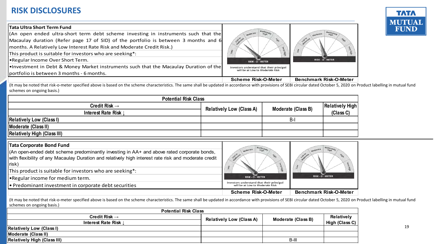

| <b>RISK DISCLOSURES</b>                                                                                                                                                                                                                                                                                                                                                                                                                                                                          |                                                                                                  |                               |
|--------------------------------------------------------------------------------------------------------------------------------------------------------------------------------------------------------------------------------------------------------------------------------------------------------------------------------------------------------------------------------------------------------------------------------------------------------------------------------------------------|--------------------------------------------------------------------------------------------------|-------------------------------|
| Tata Ultra Short Term Fund                                                                                                                                                                                                                                                                                                                                                                                                                                                                       |                                                                                                  |                               |
| (An open ended ultra-short term debt scheme investing in instruments such that the<br>Macaulay duration (Refer page 17 of SID) of the portfolio is between 3 months and 6<br>months. A Relatively Low Interest Rate Risk and Moderate Credit Risk.)<br>This product is suitable for investors who are seeking*:<br><b>Regular Income Over Short Term.</b><br>. Investment in Debt & Money Market instruments such that the Macaulay Duration of the<br>portfolio is between 3 months - 6 months. | RISK - O - METER<br>Investors understand that their principal<br>will be at Low to Moderate Risk | <b>RISK - O - METER</b>       |
|                                                                                                                                                                                                                                                                                                                                                                                                                                                                                                  | <b>Scheme Risk-O-Meter</b>                                                                       | <b>Benchmark Risk-O-Meter</b> |
| (It may be noted that risk-o-meter specified above is based on the scheme characteristics. The same shall be updated in accordance with provisions of SEBI circular dated October 5, 2020 on<br>schemes on ongoing basis.)                                                                                                                                                                                                                                                                       |                                                                                                  |                               |
| <b>Potential Risk Class</b>                                                                                                                                                                                                                                                                                                                                                                                                                                                                      |                                                                                                  |                               |

(It may be noted that risk-o-meter specified above is based on the scheme characteristics. The same shall be updated in accordance with provisions of SEBI circular dated October 5, 2020 on Product labelling in mutual fund schemes on ongoing basis.)

| <b>Potential Risk Class</b>        |                                 |                    |           |
|------------------------------------|---------------------------------|--------------------|-----------|
| Credit Risk $\rightarrow$          | <b>Relatively Low (Class A)</b> | Moderate (Class B) |           |
| Interest Rate Risk                 |                                 |                    | (Class C) |
| <b>Relatively Low (Class I)</b>    |                                 | $B -$              |           |
| Moderate (Class II)                |                                 |                    |           |
| <b>Relatively High (Class III)</b> |                                 |                    |           |

| <b>Tata Corporate Bond Fund</b>                                                                                                                                                                                              |                                                                              |                               |
|------------------------------------------------------------------------------------------------------------------------------------------------------------------------------------------------------------------------------|------------------------------------------------------------------------------|-------------------------------|
| (An open-ended debt scheme predominantly investing in AA+ and above rated corporate bonds,<br>with flexibility of any Macaulay Duration and relatively high interest rate risk and moderate credit<br>risk)                  |                                                                              |                               |
| This product is suitable for investors who are seeking*:                                                                                                                                                                     | RISK - O - METER                                                             |                               |
| <b>•</b> Regular income for medium term.                                                                                                                                                                                     |                                                                              | RISK - O - METER              |
| Predominant investment in corporate debt securities                                                                                                                                                                          | Investors understand that their principal<br>will be at Low to Moderate Risk |                               |
|                                                                                                                                                                                                                              | <b>Scheme Risk-O-Meter</b>                                                   | <b>Benchmark Risk-O-Meter</b> |
| (It may be noted that risk-o-meter specified above is based on the scheme characteristics. The same shall be updated in accordance with provisions of SEBI circular dated October 5, 2020 on P<br>schemes on ongoing basis.) |                                                                              |                               |

| <b>Potential Risk Class</b>        |                                 |                    |                |
|------------------------------------|---------------------------------|--------------------|----------------|
| Credit Risk $\rightarrow$          | <b>Relatively Low (Class A)</b> | Moderate (Class B) | Relatively     |
| Interest Rate Risk                 |                                 |                    | High (Class C) |
| <b>Relatively Low (Class I)</b>    |                                 |                    |                |
| Moderate (Class II)                |                                 |                    |                |
| <b>Relatively High (Class III)</b> |                                 | B-III              |                |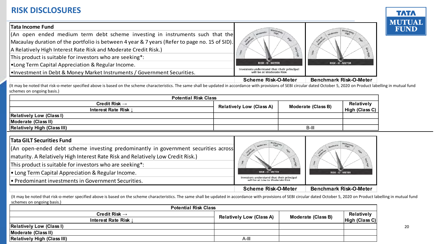

| <b>RISK DISCLOSURES</b>                                                                                                                                                                                                           |                                                                                           |                               |
|-----------------------------------------------------------------------------------------------------------------------------------------------------------------------------------------------------------------------------------|-------------------------------------------------------------------------------------------|-------------------------------|
| <b>Tata Income Fund</b><br>(An open ended medium term debt scheme investing in instruments such that the<br>Macaulay duration of the portfolio is between 4 year & 7 years (Refer to page no. 15 of SID).                         |                                                                                           |                               |
| A Relatively High Interest Rate Risk and Moderate Credit Risk.)<br>This product is suitable for investors who are seeking*:                                                                                                       |                                                                                           |                               |
| •Long Term Capital Appreciation & Regular Income.<br>. Investment in Debt & Money Market Instruments / Government Securities.                                                                                                     | RISK - O - METER<br>Investors understand that their principal<br>will be at Moderate Risk | <b>RISK - O - METER</b>       |
|                                                                                                                                                                                                                                   | <b>Scheme Risk-O-Meter</b>                                                                | <b>Benchmark Risk-O-Meter</b> |
| It may be noted that risk-o-meter specified above is based on the scheme characteristics. The same shall be updated in accordance with provisions of SEBI circular dated October 5, 2020 on Product<br>schemes on ongoing basis.) |                                                                                           |                               |
| <b>Potential Risk Class</b>                                                                                                                                                                                                       |                                                                                           |                               |

(It may be noted that risk-o-meter specified above is based on the scheme characteristics. The same shall be updated in accordance with provisions of SEBI circular dated October 5, 2020 on Product labelling in mutual fund schemes on ongoing basis.)

| <b>Potential Risk Class</b>        |                                 |                    |                |  |  |  |
|------------------------------------|---------------------------------|--------------------|----------------|--|--|--|
| Credit Risk $\rightarrow$          | <b>Relatively Low (Class A)</b> | Moderate (Class B) | Relatively     |  |  |  |
| Interest Rate Risk                 |                                 |                    | High (Class C) |  |  |  |
| <b>Relatively Low (Class I)</b>    |                                 |                    |                |  |  |  |
| Moderate (Class II)                |                                 |                    |                |  |  |  |
| <b>Relatively High (Class III)</b> |                                 | B-III              |                |  |  |  |

| Interest Rate Risk J                                                                                                                                                                                     | R <sub>1</sub>                                                               | $m$ vicus late (Viass D) | High (Class C)                |
|----------------------------------------------------------------------------------------------------------------------------------------------------------------------------------------------------------|------------------------------------------------------------------------------|--------------------------|-------------------------------|
| <b>Relatively Low (Class I)</b>                                                                                                                                                                          |                                                                              |                          |                               |
| Moderate (Class II)                                                                                                                                                                                      |                                                                              |                          |                               |
| <b>Relatively High (Class III)</b>                                                                                                                                                                       |                                                                              | $B-III$                  |                               |
|                                                                                                                                                                                                          |                                                                              |                          |                               |
| <b>Tata GILT Securities Fund</b>                                                                                                                                                                         |                                                                              |                          |                               |
| (An open-ended debt scheme investing predominantly in government securities across                                                                                                                       |                                                                              |                          | High                          |
| maturity. A Relatively High Interest Rate Risk and Relatively Low Credit Risk.)                                                                                                                          |                                                                              |                          |                               |
| This product is suitable for investors who are seeking*:                                                                                                                                                 |                                                                              |                          | iecy                          |
| $\cdot$ Long Term Capital Appreciation & Regular Income.                                                                                                                                                 | RISK - O - METER                                                             | RISK - O - METER         |                               |
| • Predominant investments in Government Securities.                                                                                                                                                      | Investors understand that their principal<br>will be at Low to Moderate Risk |                          |                               |
|                                                                                                                                                                                                          | <b>Scheme Risk-O-Meter</b>                                                   |                          | <b>Benchmark Risk-O-Meter</b> |
| (It may be noted that risk-o-meter specified above is based on the scheme characteristics. The same shall be updated in accordance with provisions of SEBI circular dated October 5, 2020 on Product lab |                                                                              |                          |                               |
| schemes on ongoing basis.)                                                                                                                                                                               |                                                                              |                          |                               |

| <b>Potential Risk Class</b>        |                                 |                    |                |  |  |  |
|------------------------------------|---------------------------------|--------------------|----------------|--|--|--|
| Credit Risk $\rightarrow$          | <b>Relatively Low (Class A)</b> | Moderate (Class B) | Relatively     |  |  |  |
| Interest Rate Risk                 |                                 |                    | High (Class C) |  |  |  |
| <b>Relatively Low (Class I)</b>    |                                 |                    |                |  |  |  |
| Moderate (Class II)                |                                 |                    |                |  |  |  |
| <b>Relatively High (Class III)</b> | A-II'                           |                    |                |  |  |  |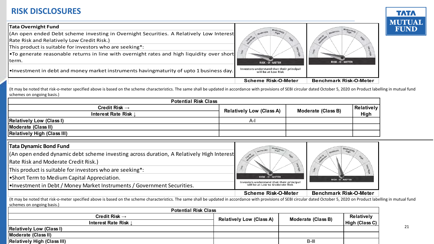

| <b>RISK DISCLOSURES</b>                                                                                                                                                                                                                                                                                                                                                                                                                                                                                                                                                                                                                                                                                                 |                                                                                                            |                               |            | <b>TATA</b><br><b>MUTUA</b> |
|-------------------------------------------------------------------------------------------------------------------------------------------------------------------------------------------------------------------------------------------------------------------------------------------------------------------------------------------------------------------------------------------------------------------------------------------------------------------------------------------------------------------------------------------------------------------------------------------------------------------------------------------------------------------------------------------------------------------------|------------------------------------------------------------------------------------------------------------|-------------------------------|------------|-----------------------------|
| <b>Tata Overnight Fund</b>                                                                                                                                                                                                                                                                                                                                                                                                                                                                                                                                                                                                                                                                                              |                                                                                                            | Moder,                        |            | <b>FUND</b>                 |
| (An open ended Debt scheme investing in Overnight Securities. A Relatively Low Interest                                                                                                                                                                                                                                                                                                                                                                                                                                                                                                                                                                                                                                 |                                                                                                            |                               |            |                             |
| Rate Risk and Relatively Low Credit Risk.)                                                                                                                                                                                                                                                                                                                                                                                                                                                                                                                                                                                                                                                                              |                                                                                                            |                               |            |                             |
| This product is suitable for investors who are seeking*:                                                                                                                                                                                                                                                                                                                                                                                                                                                                                                                                                                                                                                                                |                                                                                                            |                               |            |                             |
| .To generate reasonable returns in line with overnight rates and high liquidity over short                                                                                                                                                                                                                                                                                                                                                                                                                                                                                                                                                                                                                              |                                                                                                            |                               |            |                             |
| term.                                                                                                                                                                                                                                                                                                                                                                                                                                                                                                                                                                                                                                                                                                                   | <b>RISK - O - METER</b>                                                                                    | RISK - O - METER              |            |                             |
| . Investment in debt and money market instruments havingmaturity of upto 1 business day.                                                                                                                                                                                                                                                                                                                                                                                                                                                                                                                                                                                                                                | Investors understand that their principal<br>will be at Low Risk                                           |                               |            |                             |
|                                                                                                                                                                                                                                                                                                                                                                                                                                                                                                                                                                                                                                                                                                                         | <b>Scheme Risk-O-Meter</b>                                                                                 | <b>Benchmark Risk-O-Meter</b> |            |                             |
|                                                                                                                                                                                                                                                                                                                                                                                                                                                                                                                                                                                                                                                                                                                         |                                                                                                            |                               |            |                             |
|                                                                                                                                                                                                                                                                                                                                                                                                                                                                                                                                                                                                                                                                                                                         |                                                                                                            |                               |            |                             |
| <b>Potential Risk Class</b>                                                                                                                                                                                                                                                                                                                                                                                                                                                                                                                                                                                                                                                                                             |                                                                                                            |                               |            |                             |
| Credit Risk $\rightarrow$                                                                                                                                                                                                                                                                                                                                                                                                                                                                                                                                                                                                                                                                                               | <b>Relatively Low (Class A)</b>                                                                            | <b>Moderate (Class B)</b>     | Relatively |                             |
| <b>Interest Rate Risk</b>                                                                                                                                                                                                                                                                                                                                                                                                                                                                                                                                                                                                                                                                                               | $A-I$                                                                                                      |                               | High       |                             |
|                                                                                                                                                                                                                                                                                                                                                                                                                                                                                                                                                                                                                                                                                                                         |                                                                                                            |                               |            |                             |
|                                                                                                                                                                                                                                                                                                                                                                                                                                                                                                                                                                                                                                                                                                                         |                                                                                                            |                               |            |                             |
|                                                                                                                                                                                                                                                                                                                                                                                                                                                                                                                                                                                                                                                                                                                         |                                                                                                            |                               |            |                             |
|                                                                                                                                                                                                                                                                                                                                                                                                                                                                                                                                                                                                                                                                                                                         |                                                                                                            |                               |            |                             |
|                                                                                                                                                                                                                                                                                                                                                                                                                                                                                                                                                                                                                                                                                                                         |                                                                                                            |                               |            |                             |
|                                                                                                                                                                                                                                                                                                                                                                                                                                                                                                                                                                                                                                                                                                                         |                                                                                                            |                               |            |                             |
|                                                                                                                                                                                                                                                                                                                                                                                                                                                                                                                                                                                                                                                                                                                         | <b>RISK - O - METER</b>                                                                                    |                               |            |                             |
|                                                                                                                                                                                                                                                                                                                                                                                                                                                                                                                                                                                                                                                                                                                         |                                                                                                            | RISK - O - METER              |            |                             |
| (It may be noted that risk-o-meter specified above is based on the scheme characteristics. The same shall be updated in accordance with provisions of SEBI circular dated October 5, 2020 on Product labelling in mutual fund<br>schemes on ongoing basis.)<br><b>Relatively Low (Class I)</b><br>Moderate (Class II)<br><b>Relatively High (Class III)</b><br><b>Tata Dynamic Bond Fund</b><br>(An open ended dynamic debt scheme investing across duration, A Relatively High Interest<br>Rate Risk and Moderate Credit Risk.)<br>This product is suitable for investors who are seeking*:<br>•Short Term to Medium Capital Appreciation.<br>. Investment in Debt / Money Market Instruments / Government Securities. | Investors understand that their principal<br>will be at Low to Moderate Risk<br><b>Scheme Risk-O-Meter</b> | <b>Benchmark Risk-O-Meter</b> |            |                             |

| <b>Potential Risk Class</b>        |                                 |                    |                   |  |  |  |
|------------------------------------|---------------------------------|--------------------|-------------------|--|--|--|
| Credit Risk $\rightarrow$          | <b>Relatively Low (Class A)</b> | Moderate (Class B) | <b>Relatively</b> |  |  |  |
| Interest Rate Risk                 |                                 |                    | High (Class C)    |  |  |  |
| <b>Relatively Low (Class I)</b>    |                                 |                    |                   |  |  |  |
| Moderate (Class II)                |                                 |                    |                   |  |  |  |
| <b>Relatively High (Class III)</b> |                                 | B-III              |                   |  |  |  |

21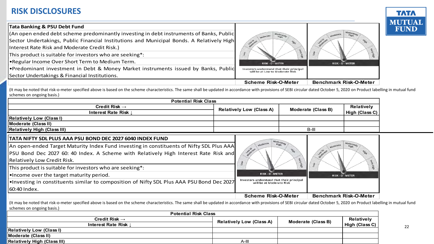

| <b>Tata Banking &amp; PSU Debt Fund</b>                                                   |                                                                              |                               |
|-------------------------------------------------------------------------------------------|------------------------------------------------------------------------------|-------------------------------|
| (An open ended debt scheme predominantly investing in debt instruments of Banks, Public   |                                                                              |                               |
| Sector Undertakings, Public Financial Institutions and Municipal Bonds. A Relatively High |                                                                              |                               |
| Interest Rate Risk and Moderate Credit Risk.)                                             |                                                                              |                               |
| This product is suitable for investors who are seeking*:                                  |                                                                              |                               |
| •Regular Income Over Short Term to Medium Term.                                           | RISK - O - METER                                                             | RISK - O - METER              |
| •Predominant investment in Debt & Money Market instruments issued by Banks, Public        | Investors understand that their principal<br>will be at Low to Moderate Risk |                               |
| Sector Undertakings & Financial Institutions.                                             |                                                                              |                               |
|                                                                                           | <b>Scheme Risk-O-Meter</b>                                                   | <b>Benchmark Risk-O-Meter</b> |

(It may be noted that risk-o-meter specified above is based on the scheme characteristics. The same shall be updated in accordance with provisions of SEBI circular dated October 5, 2020 on Product labelling in mutual fund schemes on ongoing basis.)

| <b>Potential Risk Class</b>                                                              |                                                       |                  |             |            |                        |
|------------------------------------------------------------------------------------------|-------------------------------------------------------|------------------|-------------|------------|------------------------|
| Credit Risk $\rightarrow$                                                                | <b>Relatively Low (Class A)</b><br>Moderate (Class B) |                  |             | Relatively |                        |
| Interest Rate Risk I                                                                     |                                                       |                  |             |            | High (Class C) $\vert$ |
| <b>Relatively Low (Class I)</b>                                                          |                                                       |                  |             |            |                        |
| Moderate (Class II)                                                                      |                                                       |                  |             |            |                        |
| <b>Relatively High (Class III)</b>                                                       |                                                       |                  |             | B-III      |                        |
| TATA NIFTY SDL PLUS AAA PSU BOND DEC 2027 6040 INDEX FUND                                |                                                       |                  |             |            |                        |
| An open-ended Target Maturity Index Fund investing in constituents of Nifty SDL Plus AAA |                                                       | <b>Moderates</b> | <b>High</b> |            | Moderates<br>High      |
| PSU Bond Dec 2027 60: 40 Index. A Scheme with Relatively High Interest Rate Risk and     |                                                       | Low to aim       | <b>High</b> |            | <b>HEA</b>             |
| Relatively Low Credit Risk.                                                              |                                                       |                  |             |            |                        |

| TATA NIFTY SDL PLUS AAA PSU BOND DEC 2027 6040 INDEX FUND                                                                                                                                                                                |                                                                       |                               |
|------------------------------------------------------------------------------------------------------------------------------------------------------------------------------------------------------------------------------------------|-----------------------------------------------------------------------|-------------------------------|
| An open-ended Target Maturity Index Fund investing in constituents of Nifty SDL Plus AAA                                                                                                                                                 | High<br>Low to all<br><b>High</b>                                     |                               |
| PSU Bond Dec 2027 60: 40 Index. A Scheme with Relatively High Interest Rate Risk and                                                                                                                                                     |                                                                       |                               |
| <b>Relatively Low Credit Risk.</b>                                                                                                                                                                                                       |                                                                       |                               |
| This product is suitable for investors who are seeking*:                                                                                                                                                                                 |                                                                       |                               |
| . Income over the target maturity period.                                                                                                                                                                                                | RISK-O-METER                                                          | RISK-O-METER                  |
| . Investing in constituents similar to composition of Nifty SDL Plus AAA PSU Bond Dec 2027                                                                                                                                               | Investors understand that their principal<br>will be at Moderate Risk |                               |
| 60:40 Index.                                                                                                                                                                                                                             |                                                                       |                               |
|                                                                                                                                                                                                                                          | <b>Scheme Risk-O-Meter</b>                                            | <b>Benchmark Risk-O-Meter</b> |
| (It may be noted that risk-o-meter specified above is based on the scheme characteristics. The same shall be updated in accordance with provisions of SEBI circular dated October 5, 2020 on Product label<br>schemes on ongoing basis.) |                                                                       |                               |

(It may be noted that risk-o-meter specified above is based on the scheme characteristics. The same shall be updated in accordance with provisions of SEBI circular dated October 5, 2020 on Product labelling in mutual fund schemes on ongoing basis.)

| <b>Potential Risk Class</b>        |                                 |                    |                |  |  |  |
|------------------------------------|---------------------------------|--------------------|----------------|--|--|--|
| Credit Risk $\rightarrow$          | <b>Relatively Low (Class A)</b> | Moderate (Class B) | Relatively     |  |  |  |
| <b>Interest Rate Risk</b>          |                                 |                    | High (Class C) |  |  |  |
| <b>Relatively Low (Class I)</b>    |                                 |                    |                |  |  |  |
| <b>IModerate (Class II)</b>        |                                 |                    |                |  |  |  |
| <b>Relatively High (Class III)</b> | A-III                           |                    |                |  |  |  |

22